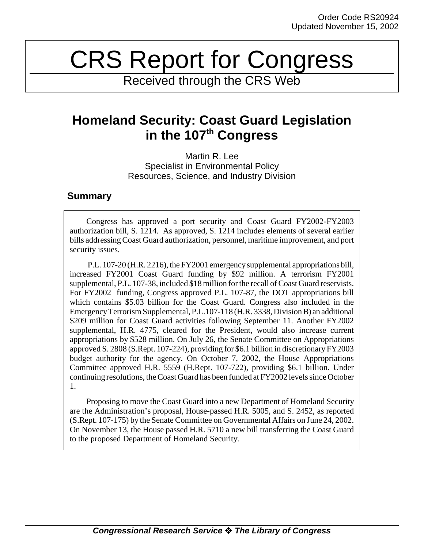# CRS Report for Congress

Received through the CRS Web

# **Homeland Security: Coast Guard Legislation in the 107th Congress**

Martin R. Lee Specialist in Environmental Policy Resources, Science, and Industry Division

# **Summary**

Congress has approved a port security and Coast Guard FY2002-FY2003 authorization bill, S. 1214. As approved, S. 1214 includes elements of several earlier bills addressing Coast Guard authorization, personnel, maritime improvement, and port security issues.

 P.L. 107-20 (H.R. 2216), the FY2001 emergency supplemental appropriations bill, increased FY2001 Coast Guard funding by \$92 million. A terrorism FY2001 supplemental, P.L. 107-38, included \$18 million for the recall of Coast Guard reservists. For FY2002 funding, Congress approved P.L. 107-87, the DOT appropriations bill which contains \$5.03 billion for the Coast Guard. Congress also included in the Emergency Terrorism Supplemental, P.L.107-118 (H.R. 3338, Division B) an additional \$209 million for Coast Guard activities following September 11. Another FY2002 supplemental, H.R. 4775, cleared for the President, would also increase current appropriations by \$528 million. On July 26, the Senate Committee on Appropriations approved S. 2808 (S.Rept. 107-224), providing for \$6.1 billion in discretionary FY2003 budget authority for the agency. On October 7, 2002, the House Appropriations Committee approved H.R. 5559 (H.Rept. 107-722), providing \$6.1 billion. Under continuing resolutions, the Coast Guard has been funded at FY2002 levels since October 1.

Proposing to move the Coast Guard into a new Department of Homeland Security are the Administration's proposal, House-passed H.R. 5005, and S. 2452, as reported (S.Rept. 107-175) by the Senate Committee on Governmental Affairs on June 24, 2002. On November 13, the House passed H.R. 5710 a new bill transferring the Coast Guard to the proposed Department of Homeland Security.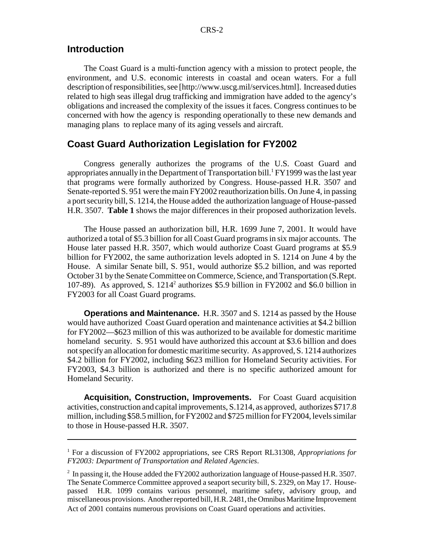#### **Introduction**

The Coast Guard is a multi-function agency with a mission to protect people, the environment, and U.S. economic interests in coastal and ocean waters. For a full description of responsibilities, see [http://www.uscg.mil/services.html]. Increased duties related to high seas illegal drug trafficking and immigration have added to the agency's obligations and increased the complexity of the issues it faces. Congress continues to be concerned with how the agency is responding operationally to these new demands and managing plans to replace many of its aging vessels and aircraft.

#### **Coast Guard Authorization Legislation for FY2002**

Congress generally authorizes the programs of the U.S. Coast Guard and appropriates annually in the Department of Transportation bill.<sup>1</sup> FY1999 was the last year that programs were formally authorized by Congress. House-passed H.R. 3507 and Senate-reported S. 951 were the main FY2002 reauthorization bills. On June 4, in passing a port security bill, S. 1214, the House added the authorization language of House-passed H.R. 3507. **Table 1** shows the major differences in their proposed authorization levels.

The House passed an authorization bill, H.R. 1699 June 7, 2001. It would have authorized a total of \$5.3 billion for all Coast Guard programs in six major accounts. The House later passed H.R. 3507, which would authorize Coast Guard programs at \$5.9 billion for FY2002, the same authorization levels adopted in S. 1214 on June 4 by the House. A similar Senate bill, S. 951, would authorize \$5.2 billion, and was reported October 31 by the Senate Committee on Commerce, Science, and Transportation (S.Rept. 107-89). As approved, S.  $1214^2$  authorizes \$5.9 billion in FY2002 and \$6.0 billion in FY2003 for all Coast Guard programs.

**Operations and Maintenance.** H.R. 3507 and S. 1214 as passed by the House would have authorized Coast Guard operation and maintenance activities at \$4.2 billion for FY2002—\$623 million of this was authorized to be available for domestic maritime homeland security. S. 951 would have authorized this account at \$3.6 billion and does not specify an allocation for domestic maritime security. As approved, S. 1214 authorizes \$4.2 billion for FY2002, including \$623 million for Homeland Security activities. For FY2003, \$4.3 billion is authorized and there is no specific authorized amount for Homeland Security.

**Acquisition, Construction, Improvements.** For Coast Guard acquisition activities, construction and capital improvements, S.1214, as approved, authorizes \$717.8 million, including \$58.5 million, for FY2002 and \$725 million for FY2004, levels similar to those in House-passed H.R. 3507.

<sup>&</sup>lt;sup>1</sup> For a discussion of FY2002 appropriations, see CRS Report RL31308, Appropriations for *FY2003: Department of Transportation and Related Agencies*.

 $2$  In passing it, the House added the FY2002 authorization language of House-passed H.R. 3507. The Senate Commerce Committee approved a seaport security bill, S. 2329, on May 17. Housepassed H.R. 1099 contains various personnel, maritime safety, advisory group, and miscellaneous provisions. Another reported bill, H.R. 2481, the Omnibus Maritime Improvement Act of 2001 contains numerous provisions on Coast Guard operations and activities.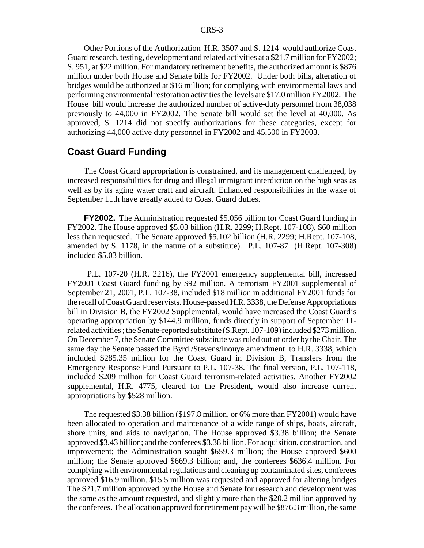Other Portions of the Authorization H.R. 3507 and S. 1214 would authorize Coast Guard research, testing, development and related activities at a \$21.7 million for FY2002; S. 951, at \$22 million. For mandatory retirement benefits, the authorized amount is \$876 million under both House and Senate bills for FY2002. Under both bills, alteration of bridges would be authorized at \$16 million; for complying with environmental laws and performing environmental restoration activities the levels are \$17.0 million FY2002. The House bill would increase the authorized number of active-duty personnel from 38,038 previously to 44,000 in FY2002. The Senate bill would set the level at 40,000. As approved, S. 1214 did not specify authorizations for these categories, except for authorizing 44,000 active duty personnel in FY2002 and 45,500 in FY2003.

#### **Coast Guard Funding**

The Coast Guard appropriation is constrained, and its management challenged, by increased responsibilities for drug and illegal immigrant interdiction on the high seas as well as by its aging water craft and aircraft. Enhanced responsibilities in the wake of September 11th have greatly added to Coast Guard duties.

**FY2002.** The Administration requested \$5.056 billion for Coast Guard funding in FY2002. The House approved \$5.03 billion (H.R. 2299; H.Rept. 107-108), \$60 million less than requested. The Senate approved \$5.102 billion (H.R. 2299; H.Rept. 107-108, amended by S. 1178, in the nature of a substitute). P.L. 107-87 (H.Rept. 107-308) included \$5.03 billion.

 P.L. 107-20 (H.R. 2216), the FY2001 emergency supplemental bill, increased FY2001 Coast Guard funding by \$92 million. A terrorism FY2001 supplemental of September 21, 2001, P.L. 107-38, included \$18 million in additional FY2001 funds for the recall of Coast Guard reservists. House-passed H.R. 3338, the Defense Appropriations bill in Division B, the FY2002 Supplemental, would have increased the Coast Guard's operating appropriation by \$144.9 million, funds directly in support of September 11 related activities ; the Senate-reported substitute (S.Rept. 107-109) included \$273 million. On December 7, the Senate Committee substitute was ruled out of order by the Chair. The same day the Senate passed the Byrd /Stevens/Inouye amendment to H.R. 3338, which included \$285.35 million for the Coast Guard in Division B, Transfers from the Emergency Response Fund Pursuant to P.L. 107-38. The final version, P.L. 107-118, included \$209 million for Coast Guard terrorism-related activities. Another FY2002 supplemental, H.R. 4775, cleared for the President, would also increase current appropriations by \$528 million.

The requested \$3.38 billion (\$197.8 million, or 6% more than FY2001) would have been allocated to operation and maintenance of a wide range of ships, boats, aircraft, shore units, and aids to navigation. The House approved \$3.38 billion; the Senate approved \$3.43 billion; and the conferees \$3.38 billion. For acquisition, construction, and improvement; the Administration sought \$659.3 million; the House approved \$600 million; the Senate approved \$669.3 billion; and, the conferees \$636.4 million. For complying with environmental regulations and cleaning up contaminated sites, conferees approved \$16.9 million. \$15.5 million was requested and approved for altering bridges The \$21.7 million approved by the House and Senate for research and development was the same as the amount requested, and slightly more than the \$20.2 million approved by the conferees. The allocation approved for retirement pay will be \$876.3 million, the same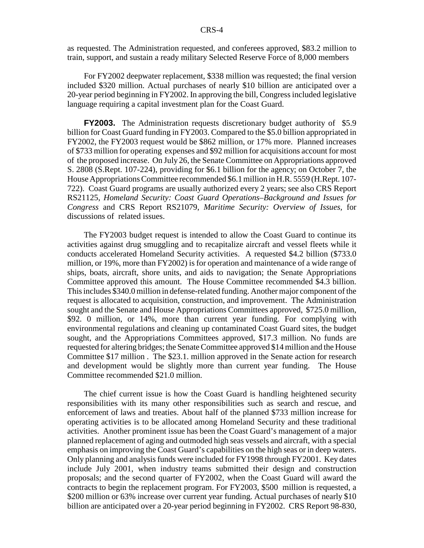as requested. The Administration requested, and conferees approved, \$83.2 million to train, support, and sustain a ready military Selected Reserve Force of 8,000 members

For FY2002 deepwater replacement, \$338 million was requested; the final version included \$320 million. Actual purchases of nearly \$10 billion are anticipated over a 20-year period beginning in FY2002. In approving the bill, Congress included legislative language requiring a capital investment plan for the Coast Guard.

**FY2003.** The Administration requests discretionary budget authority of \$5.9 billion for Coast Guard funding in FY2003. Compared to the \$5.0 billion appropriated in FY2002, the FY2003 request would be \$862 million, or 17% more. Planned increases of \$733 million for operating expenses and \$92 million for acquisitions account for most of the proposed increase. On July 26, the Senate Committee on Appropriations approved S. 2808 (S.Rept. 107-224), providing for \$6.1 billion for the agency; on October 7, the House Appropriations Committee recommended \$6.1 million in H.R. 5559 (H.Rept. 107- 722). Coast Guard programs are usually authorized every 2 years; see also CRS Report RS21125, *Homeland Security: Coast Guard Operations–Background and Issues for Congress* and CRS Report RS21079, *Maritime Security: Overview of Issues,* for discussions of related issues.

The FY2003 budget request is intended to allow the Coast Guard to continue its activities against drug smuggling and to recapitalize aircraft and vessel fleets while it conducts accelerated Homeland Security activities. A requested \$4.2 billion (\$733.0 million, or 19%, more than FY2002) is for operation and maintenance of a wide range of ships, boats, aircraft, shore units, and aids to navigation; the Senate Appropriations Committee approved this amount. The House Committee recommended \$4.3 billion. This includes \$340.0 million in defense-related funding. Another major component of the request is allocated to acquisition, construction, and improvement. The Administration sought and the Senate and House Appropriations Committees approved, \$725.0 million, \$92. 0 million, or 14%, more than current year funding. For complying with environmental regulations and cleaning up contaminated Coast Guard sites, the budget sought, and the Appropriations Committees approved, \$17.3 million. No funds are requested for altering bridges; the Senate Committee approved \$14 million and the House Committee \$17 million . The \$23.1. million approved in the Senate action for research and development would be slightly more than current year funding. The House Committee recommended \$21.0 million.

The chief current issue is how the Coast Guard is handling heightened security responsibilities with its many other responsibilities such as search and rescue, and enforcement of laws and treaties. About half of the planned \$733 million increase for operating activities is to be allocated among Homeland Security and these traditional activities. Another prominent issue has been the Coast Guard's management of a major planned replacement of aging and outmoded high seas vessels and aircraft, with a special emphasis on improving the Coast Guard's capabilities on the high seas or in deep waters. Only planning and analysis funds were included for FY1998 through FY2001. Key dates include July 2001, when industry teams submitted their design and construction proposals; and the second quarter of FY2002, when the Coast Guard will award the contracts to begin the replacement program. For FY2003, \$500 million is requested, a \$200 million or 63% increase over current year funding. Actual purchases of nearly \$10 billion are anticipated over a 20-year period beginning in FY2002. CRS Report 98-830,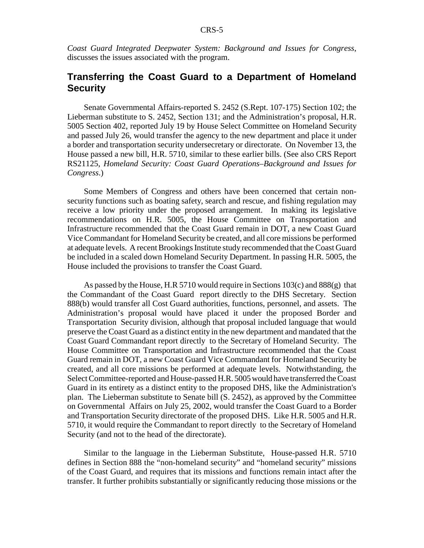*Coast Guard Integrated Deepwater System: Background and Issues for Congress*, discusses the issues associated with the program.

### **Transferring the Coast Guard to a Department of Homeland Security**

Senate Governmental Affairs-reported S. 2452 (S.Rept. 107-175) Section 102; the Lieberman substitute to S. 2452, Section 131; and the Administration's proposal, H.R. 5005 Section 402, reported July 19 by House Select Committee on Homeland Security and passed July 26, would transfer the agency to the new department and place it under a border and transportation security undersecretary or directorate. On November 13, the House passed a new bill, H.R. 5710, similar to these earlier bills. (See also CRS Report RS21125, *Homeland Security: Coast Guard Operations–Background and Issues for Congress*.)

Some Members of Congress and others have been concerned that certain nonsecurity functions such as boating safety, search and rescue, and fishing regulation may receive a low priority under the proposed arrangement. In making its legislative recommendations on H.R. 5005, the House Committee on Transportation and Infrastructure recommended that the Coast Guard remain in DOT, a new Coast Guard Vice Commandant for Homeland Security be created, and all core missions be performed at adequate levels. A recent Brookings Institute study recommended that the Coast Guard be included in a scaled down Homeland Security Department. In passing H.R. 5005, the House included the provisions to transfer the Coast Guard.

As passed by the House, H.R 5710 would require in Sections 103(c) and 888(g) that the Commandant of the Coast Guard report directly to the DHS Secretary. Section 888(b) would transfer all Cost Guard authorities, functions, personnel, and assets. The Administration's proposal would have placed it under the proposed Border and Transportation Security division, although that proposal included language that would preserve the Coast Guard as a distinct entity in the new department and mandated that the Coast Guard Commandant report directly to the Secretary of Homeland Security. The House Committee on Transportation and Infrastructure recommended that the Coast Guard remain in DOT, a new Coast Guard Vice Commandant for Homeland Security be created, and all core missions be performed at adequate levels. Notwithstanding, the Select Committee-reported and House-passed H.R. 5005 would have transferred the Coast Guard in its entirety as a distinct entity to the proposed DHS, like the Administration's plan. The Lieberman substitute to Senate bill (S. 2452), as approved by the Committee on Governmental Affairs on July 25, 2002, would transfer the Coast Guard to a Border and Transportation Security directorate of the proposed DHS. Like H.R. 5005 and H.R. 5710, it would require the Commandant to report directly to the Secretary of Homeland Security (and not to the head of the directorate).

Similar to the language in the Lieberman Substitute, House-passed H.R. 5710 defines in Section 888 the "non-homeland security" and "homeland security" missions of the Coast Guard, and requires that its missions and functions remain intact after the transfer. It further prohibits substantially or significantly reducing those missions or the